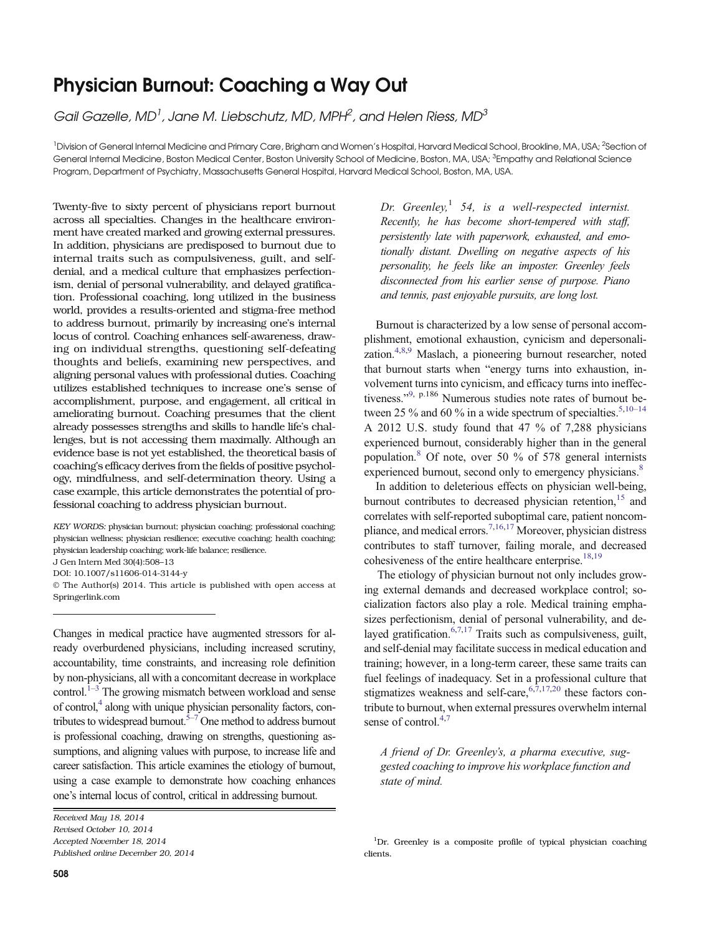# Physician Burnout: Coaching a Way Out

Gail Gazelle, MD<sup>1</sup>, Jane M. Liebschutz, MD, MPH<sup>2</sup>, and Helen Riess, MD<sup>3</sup>

<sup>1</sup>Division of General Internal Medicine and Primary Care, Brigham and Women's Hospital, Harvard Medical School, Brookline, MA, USA; <sup>2</sup>Section ot General Internal Medicine, Boston Medical Center, Boston University School of Medicine, Boston, MA, USA; <sup>3</sup>Empathy and Relational Science Program, Department of Psychiatry, Massachusetts General Hospital, Harvard Medical School, Boston, MA, USA.

Twenty-five to sixty percent of physicians report burnout across all specialties. Changes in the healthcare environment have created marked and growing external pressures. In addition, physicians are predisposed to burnout due to internal traits such as compulsiveness, guilt, and selfdenial, and a medical culture that emphasizes perfectionism, denial of personal vulnerability, and delayed gratification. Professional coaching, long utilized in the business world, provides a results-oriented and stigma-free method to address burnout, primarily by increasing one's internal locus of control. Coaching enhances self-awareness, drawing on individual strengths, questioning self-defeating thoughts and beliefs, examining new perspectives, and aligning personal values with professional duties. Coaching utilizes established techniques to increase one's sense of accomplishment, purpose, and engagement, all critical in ameliorating burnout. Coaching presumes that the client already possesses strengths and skills to handle life's challenges, but is not accessing them maximally. Although an evidence base is not yet established, the theoretical basis of coaching's efficacy derives from the fields of positive psychology, mindfulness, and self-determination theory. Using a case example, this article demonstrates the potential of professional coaching to address physician burnout.

KEY WORDS: physician burnout; physician coaching; professional coaching; physician wellness; physician resilience; executive coaching; health coaching; physician leadership coaching; work-life balance; resilience.

J Gen Intern Med 30(4):508–13

DOI: 10.1007/s11606-014-3144-y

© The Author(s) 2014. This article is published with open access at Springerlink.com

Changes in medical practice have augmented stressors for already overburdened physicians, including increased scrutiny, accountability, time constraints, and increasing role definition by non-physicians, all with a concomitant decrease in workplace control.[1](#page-4-0)–[3](#page-4-0) The growing mismatch between workload and sense of control[,4](#page-4-0) along with unique physician personality factors, con-tributes to widespread burnout.<sup>5–[7](#page-4-0)</sup> One method to address burnout is professional coaching, drawing on strengths, questioning assumptions, and aligning values with purpose, to increase life and career satisfaction. This article examines the etiology of burnout, using a case example to demonstrate how coaching enhances one's internal locus of control, critical in addressing burnout.

Received May 18, 2014 Revised October 10, 2014 Accepted November 18, 2014 Published online December 20, 2014 Dr. Greenley,  $\begin{bmatrix} 54 \\ 54 \end{bmatrix}$  is a well-respected internist. Recently, he has become short-tempered with staff, persistently late with paperwork, exhausted, and emotionally distant. Dwelling on negative aspects of his personality, he feels like an imposter. Greenley feels disconnected from his earlier sense of purpose. Piano and tennis, past enjoyable pursuits, are long lost.

Burnout is characterized by a low sense of personal accomplishment, emotional exhaustion, cynicism and depersonalization[.4,8](#page-4-0),[9](#page-4-0) Maslach, a pioneering burnout researcher, noted that burnout starts when "energy turns into exhaustion, involvement turns into cynicism, and efficacy turns into ineffec-tiveness."<sup>[9](#page-4-0), p.186</sup> Numerous studies note rates of burnout between 25  $\%$  and 60  $\%$  in a wide spectrum of specialties.<sup>5,[10](#page-4-0)–[14](#page-4-0)</sup> A 2012 U.S. study found that 47 % of 7,288 physicians experienced burnout, considerably higher than in the general population.[8](#page-4-0) Of note, over 50 % of 578 general internists experienced burnout, second only to emergency physicians.<sup>[8](#page-4-0)</sup>

In addition to deleterious effects on physician well-being, burnout contributes to decreased physician retention, $15$  and correlates with self-reported suboptimal care, patient noncom-pliance, and medical errors.<sup>7,16,[17](#page-4-0)</sup> Moreover, physician distress contributes to staff turnover, failing morale, and decreased cohesiveness of the entire healthcare enterprise.<sup>18,19</sup>

The etiology of physician burnout not only includes growing external demands and decreased workplace control; socialization factors also play a role. Medical training emphasizes perfectionism, denial of personal vulnerability, and delayed gratification. $6,7,17$  $6,7,17$  Traits such as compulsiveness, guilt, and self-denial may facilitate success in medical education and training; however, in a long-term career, these same traits can fuel feelings of inadequacy. Set in a professional culture that stigmatizes weakness and self-care,  $6,7,17,20$  these factors contribute to burnout, when external pressures overwhelm internal sense of control. $4,7$ 

A friend of Dr. Greenley's, a pharma executive, suggested coaching to improve his workplace function and state of mind.

<sup>&</sup>lt;sup>1</sup>Dr. Greenley is a composite profile of typical physician coaching clients.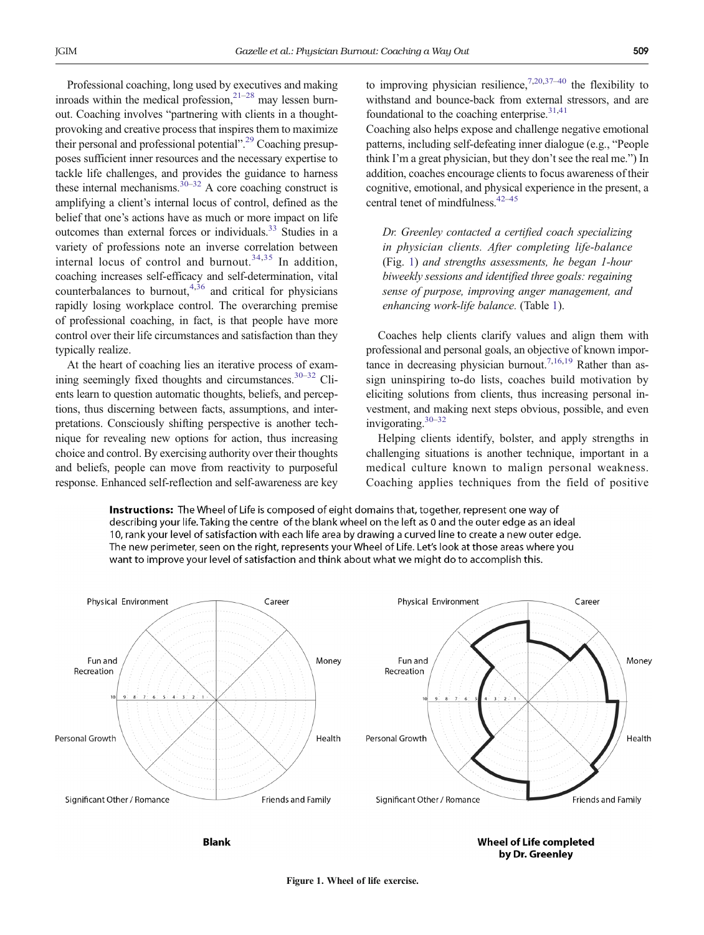Professional coaching, long used by executives and making inroads within the medical profession, $2^{1-28}$  $2^{1-28}$  $2^{1-28}$  may lessen burnout. Coaching involves "partnering with clients in a thoughtprovoking and creative process that inspires them to maximize their personal and professional potential".<sup>[29](#page-4-0)</sup> Coaching presupposes sufficient inner resources and the necessary expertise to tackle life challenges, and provides the guidance to harness these internal mechanisms. $30-32$  $30-32$  A core coaching construct is amplifying a client's internal locus of control, defined as the belief that one's actions have as much or more impact on life outcomes than external forces or individuals.<sup>33</sup> Studies in a variety of professions note an inverse correlation between internal locus of control and burnout.<sup>[34,35](#page-4-0)</sup> In addition, coaching increases self-efficacy and self-determination, vital counterbalances to burnout,  $4,36$  and critical for physicians rapidly losing workplace control. The overarching premise of professional coaching, in fact, is that people have more control over their life circumstances and satisfaction than they typically realize.

At the heart of coaching lies an iterative process of exam-ining seemingly fixed thoughts and circumstances.<sup>30–[32](#page-4-0)</sup> Clients learn to question automatic thoughts, beliefs, and perceptions, thus discerning between facts, assumptions, and interpretations. Consciously shifting perspective is another technique for revealing new options for action, thus increasing choice and control. By exercising authority over their thoughts and beliefs, people can move from reactivity to purposeful response. Enhanced self-reflection and self-awareness are key to improving physician resilience,  $7,20,37-40$  $7,20,37-40$  the flexibility to withstand and bounce-back from external stressors, and are foundational to the coaching enterprise. $31,41$ 

Coaching also helps expose and challenge negative emotional patterns, including self-defeating inner dialogue (e.g., "People think I'm a great physician, but they don't see the real me.") In addition, coaches encourage clients to focus awareness of their cognitive, emotional, and physical experience in the present, a central tenet of mindfulness[.42](#page-4-0)–[45](#page-4-0)

Dr. Greenley contacted a certified coach specializing in physician clients. After completing life-balance (Fig. 1) and strengths assessments, he began 1-hour biweekly sessions and identified three goals: regaining sense of purpose, improving anger management, and enhancing work-life balance. (Table [1](#page-2-0)).

Coaches help clients clarify values and align them with professional and personal goals, an objective of known impor-tance in decreasing physician burnout.<sup>[7,16,19](#page-4-0)</sup> Rather than assign uninspiring to-do lists, coaches build motivation by eliciting solutions from clients, thus increasing personal investment, and making next steps obvious, possible, and even invigorating. $30-32$  $30-32$ 

Helping clients identify, bolster, and apply strengths in challenging situations is another technique, important in a medical culture known to malign personal weakness. Coaching applies techniques from the field of positive

Instructions: The Wheel of Life is composed of eight domains that, together, represent one way of describing your life. Taking the centre of the blank wheel on the left as 0 and the outer edge as an ideal 10, rank your level of satisfaction with each life area by drawing a curved line to create a new outer edge. The new perimeter, seen on the right, represents your Wheel of Life. Let's look at those areas where you want to improve your level of satisfaction and think about what we might do to accomplish this.



**Blank** 

**Wheel of Life completed** by Dr. Greenley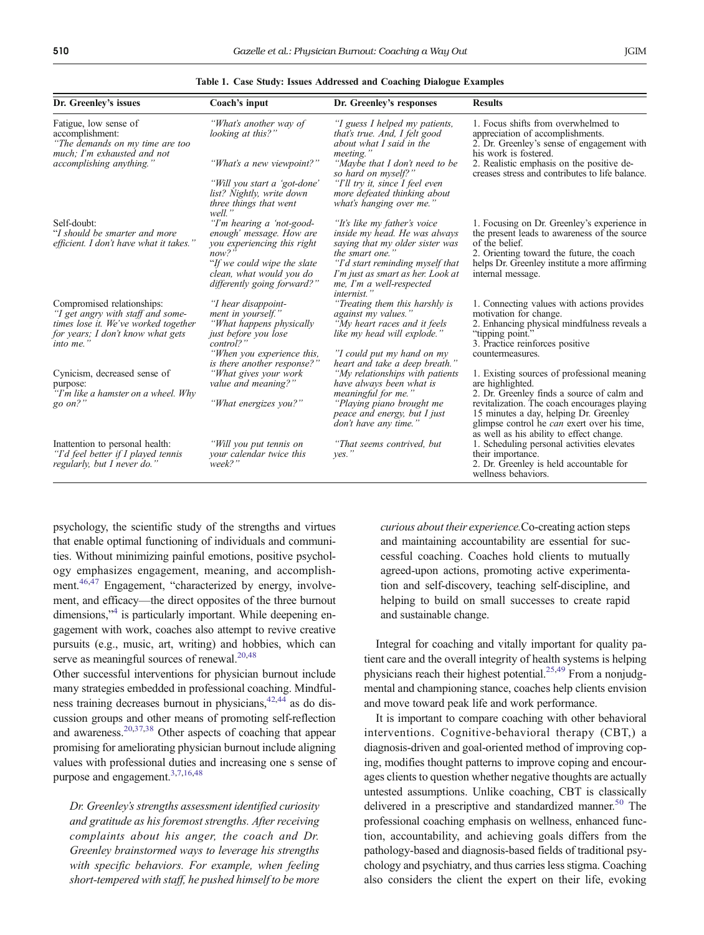<span id="page-2-0"></span>

| Dr. Greenley's issues                                                                                                                          | Coach's input                                                                                 | Dr. Greenley's responses                                                                                                                                          | <b>Results</b>                                                                                                                                                                                                                                 |
|------------------------------------------------------------------------------------------------------------------------------------------------|-----------------------------------------------------------------------------------------------|-------------------------------------------------------------------------------------------------------------------------------------------------------------------|------------------------------------------------------------------------------------------------------------------------------------------------------------------------------------------------------------------------------------------------|
| Fatigue, low sense of<br>accomplishment:<br>"The demands on my time are too<br>much; I'm exhausted and not<br><i>accomplishing anything.</i> " | "What's another way of<br>looking at this?"<br>"What's a new viewpoint?"                      | "I guess I helped my patients,<br>that's true. And, I felt good<br>about what I said in the<br>meeting."<br>"Maybe that I don't need to be<br>so hard on myself?" | 1. Focus shifts from overwhelmed to<br>appreciation of accomplishments.<br>2. Dr. Greenley's sense of engagement with<br>his work is fostered.<br>2. Realistic emphasis on the positive de-<br>creases stress and contributes to life balance. |
|                                                                                                                                                | "Will you start a 'got-done'<br>list? Nightly, write down<br>three things that went<br>well." | "I'll try it, since I feel even<br>more defeated thinking about<br>what's hanging over me."                                                                       |                                                                                                                                                                                                                                                |
| Self-doubt:<br>"I should be smarter and more<br>efficient. I don't have what it takes."                                                        | "I'm hearing a 'not-good-<br>enough' message. How are<br>you experiencing this right<br>now?  | "It's like my father's voice<br>inside my head. He was always<br>saying that my older sister was<br>the smart one."                                               | 1. Focusing on Dr. Greenley's experience in<br>the present leads to awareness of the source<br>of the belief.<br>2. Orienting toward the future, the coach                                                                                     |
|                                                                                                                                                | "If we could wipe the slate"<br>clean, what would you do<br>differently going forward?"       | "I'd start reminding myself that<br>I'm just as smart as her. Look at<br>me, I'm a well-respected<br>internist."                                                  | helps Dr. Greenley institute a more affirming<br>internal message.                                                                                                                                                                             |
| Compromised relationships:<br>"I get angry with staff and some-<br>times lose it. We've worked together<br>for years; I don't know what gets   | "I hear disappoint-<br>ment in yourself."<br>"What happens physically<br>just before you lose | "Treating them this harshly is<br>against my values."<br>"My heart races and it feels<br>like my head will explode.'                                              | 1. Connecting values with actions provides<br>motivation for change.<br>2. Enhancing physical mindfulness reveals a<br>"tipping point."                                                                                                        |
| into me.'                                                                                                                                      | control?"<br>"When you experience this,<br>is there another response?"                        | "I could put my hand on my<br>heart and take a deep breath."                                                                                                      | 3. Practice reinforces positive<br>countermeasures.                                                                                                                                                                                            |
| Cynicism, decreased sense of<br>purpose:<br>"I'm like a hamster on a wheel. Why                                                                | "What gives your work"<br>value and meaning?"                                                 | "My relationships with patients<br>have always been what is<br>meaningful for me."                                                                                | 1. Existing sources of professional meaning<br>are highlighted.<br>2. Dr. Greenley finds a source of calm and                                                                                                                                  |
| go on?"                                                                                                                                        | "What energizes you?"                                                                         | "Playing piano brought me<br>peace and energy, but I just<br>don't have any time."                                                                                | revitalization. The coach encourages playing<br>15 minutes a day, helping Dr. Greenley<br>glimpse control he <i>can</i> exert over his time,                                                                                                   |
| Inattention to personal health:<br>"I'd feel better if I played tennis<br>regularly, but I never do."                                          | "Will you put tennis on<br>your calendar twice this<br>week?"                                 | "That seems contrived, but<br>$yes.$ "                                                                                                                            | as well as his ability to effect change.<br>1. Scheduling personal activities elevates<br>their importance.<br>2. Dr. Greenley is held accountable for<br>wellness behaviors.                                                                  |

Table 1. Case Study: Issues Addressed and Coaching Dialogue Examples

psychology, the scientific study of the strengths and virtues that enable optimal functioning of individuals and communities. Without minimizing painful emotions, positive psychology emphasizes engagement, meaning, and accomplish-ment.<sup>46[,47](#page-5-0)</sup> Engagement, "characterized by energy, involvement, and efficacy—the direct opposites of the three burnout dimensions,"<sup>[4](#page-4-0)</sup> is particularly important. While deepening engagement with work, coaches also attempt to revive creative pursuits (e.g., music, art, writing) and hobbies, which can serve as meaningful sources of renewal.<sup>[20](#page-4-0),[48](#page-5-0)</sup>

Other successful interventions for physician burnout include many strategies embedded in professional coaching. Mindful-ness training decreases burnout in physicians,<sup>[42](#page-4-0),[44](#page-4-0)</sup> as do discussion groups and other means of promoting self-reflection and awareness.[20,37](#page-4-0),[38](#page-4-0) Other aspects of coaching that appear promising for ameliorating physician burnout include aligning values with professional duties and increasing one s sense of purpose and engagement. $3,7,16,48$  $3,7,16,48$  $3,7,16,48$ 

Dr. Greenley's strengths assessment identified curiosity and gratitude as his foremost strengths. After receiving complaints about his anger, the coach and Dr. Greenley brainstormed ways to leverage his strengths with specific behaviors. For example, when feeling short-tempered with staff, he pushed himself to be more

curious about their experience.Co-creating action steps and maintaining accountability are essential for successful coaching. Coaches hold clients to mutually agreed-upon actions, promoting active experimentation and self-discovery, teaching self-discipline, and helping to build on small successes to create rapid and sustainable change.

Integral for coaching and vitally important for quality patient care and the overall integrity of health systems is helping physicians reach their highest potential.<sup>25[,49](#page-5-0)</sup> From a nonjudgmental and championing stance, coaches help clients envision and move toward peak life and work performance.

It is important to compare coaching with other behavioral interventions. Cognitive-behavioral therapy (CBT,) a diagnosis-driven and goal-oriented method of improving coping, modifies thought patterns to improve coping and encourages clients to question whether negative thoughts are actually untested assumptions. Unlike coaching, CBT is classically delivered in a prescriptive and standardized manner.<sup>50</sup> The professional coaching emphasis on wellness, enhanced function, accountability, and achieving goals differs from the pathology-based and diagnosis-based fields of traditional psychology and psychiatry, and thus carries less stigma. Coaching also considers the client the expert on their life, evoking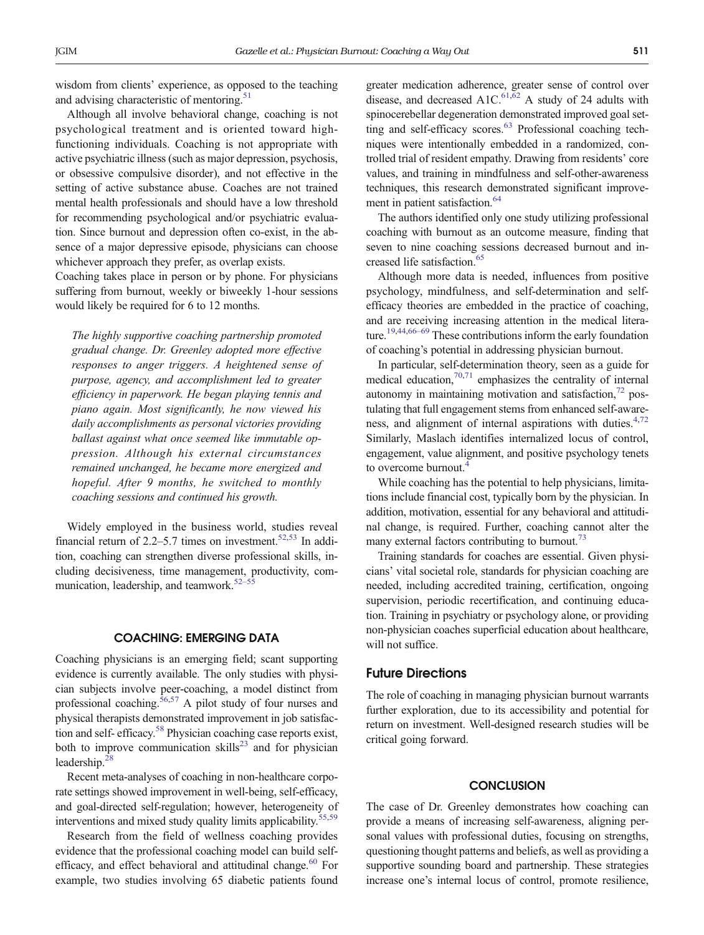wisdom from clients' experience, as opposed to the teaching and advising characteristic of mentoring.<sup>[51](#page-5-0)</sup>

Although all involve behavioral change, coaching is not psychological treatment and is oriented toward highfunctioning individuals. Coaching is not appropriate with active psychiatric illness (such as major depression, psychosis, or obsessive compulsive disorder), and not effective in the setting of active substance abuse. Coaches are not trained mental health professionals and should have a low threshold for recommending psychological and/or psychiatric evaluation. Since burnout and depression often co-exist, in the absence of a major depressive episode, physicians can choose whichever approach they prefer, as overlap exists.

Coaching takes place in person or by phone. For physicians suffering from burnout, weekly or biweekly 1-hour sessions would likely be required for 6 to 12 months.

The highly supportive coaching partnership promoted gradual change. Dr. Greenley adopted more effective responses to anger triggers. A heightened sense of purpose, agency, and accomplishment led to greater efficiency in paperwork. He began playing tennis and piano again. Most significantly, he now viewed his daily accomplishments as personal victories providing ballast against what once seemed like immutable oppression. Although his external circumstances remained unchanged, he became more energized and hopeful. After 9 months, he switched to monthly coaching sessions and continued his growth.

Widely employed in the business world, studies reveal financial return of 2.2–5.7 times on investment.<sup>52,53</sup> In addition, coaching can strengthen diverse professional skills, including decisiveness, time management, productivity, com-munication, leadership, and teamwork.<sup>52–[55](#page-5-0)</sup>

## COACHING: EMERGING DATA

Coaching physicians is an emerging field; scant supporting evidence is currently available. The only studies with physician subjects involve peer-coaching, a model distinct from professional coaching.<sup>56,57</sup> A pilot study of four nurses and physical therapists demonstrated improvement in job satisfaction and self- efficacy.[58](#page-5-0) Physician coaching case reports exist, both to improve communication skills<sup>[23](#page-4-0)</sup> and for physician leadership.[28](#page-4-0)

Recent meta-analyses of coaching in non-healthcare corporate settings showed improvement in well-being, self-efficacy, and goal-directed self-regulation; however, heterogeneity of interventions and mixed study quality limits applicability.<sup>55,59</sup>

Research from the field of wellness coaching provides evidence that the professional coaching model can build selfefficacy, and effect behavioral and attitudinal change. $60$  For example, two studies involving 65 diabetic patients found

greater medication adherence, greater sense of control over disease, and decreased  $A1C$ .<sup>61,62</sup> A study of 24 adults with spinocerebellar degeneration demonstrated improved goal setting and self-efficacy scores.<sup>63</sup> Professional coaching techniques were intentionally embedded in a randomized, controlled trial of resident empathy. Drawing from residents' core values, and training in mindfulness and self-other-awareness techniques, this research demonstrated significant improvement in patient satisfaction.<sup>64</sup>

The authors identified only one study utilizing professional coaching with burnout as an outcome measure, finding that seven to nine coaching sessions decreased burnout and in-creased life satisfaction.<sup>[65](#page-5-0)</sup>

Although more data is needed, influences from positive psychology, mindfulness, and self-determination and selfefficacy theories are embedded in the practice of coaching, and are receiving increasing attention in the medical litera-ture.<sup>19,44,[66](#page-5-0)–[69](#page-5-0)</sup> These contributions inform the early foundation of coaching's potential in addressing physician burnout.

In particular, self-determination theory, seen as a guide for medical education, $70,71$  emphasizes the centrality of internal autonomy in maintaining motivation and satisfaction, $72$  postulating that full engagement stems from enhanced self-awareness, and alignment of internal aspirations with duties. $4.72$ Similarly, Maslach identifies internalized locus of control, engagement, value alignment, and positive psychology tenets to overcome burnout.

While coaching has the potential to help physicians, limitations include financial cost, typically born by the physician. In addition, motivation, essential for any behavioral and attitudinal change, is required. Further, coaching cannot alter the many external factors contributing to burnout.<sup>73</sup>

Training standards for coaches are essential. Given physicians' vital societal role, standards for physician coaching are needed, including accredited training, certification, ongoing supervision, periodic recertification, and continuing education. Training in psychiatry or psychology alone, or providing non-physician coaches superficial education about healthcare, will not suffice.

### **Future Directions** Future Directions

The role of coaching in managing physician burnout warrants further exploration, due to its accessibility and potential for return on investment. Well-designed research studies will be critical going forward.

#### **CONCLUSION** concertification

The case of Dr. Greenley demonstrates how coaching can provide a means of increasing self-awareness, aligning personal values with professional duties, focusing on strengths, questioning thought patterns and beliefs, as well as providing a supportive sounding board and partnership. These strategies increase one's internal locus of control, promote resilience,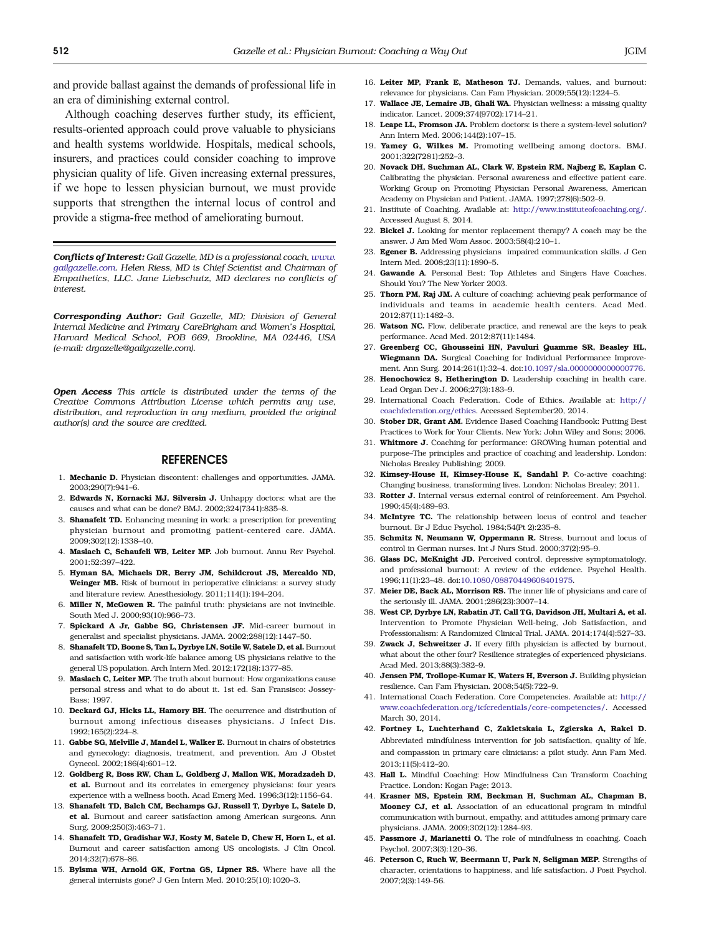<span id="page-4-0"></span>and provide ballast against the demands of professional life in an era of diminishing external control.

Although coaching deserves further study, its efficient, results-oriented approach could prove valuable to physicians and health systems worldwide. Hospitals, medical schools, insurers, and practices could consider coaching to improve physician quality of life. Given increasing external pressures, if we hope to lessen physician burnout, we must provide supports that strengthen the internal locus of control and provide a stigma-free method of ameliorating burnout.

Conflicts of Interest: Gail Gazelle, MD is a professional coach, [www.](http://www.gailgazelle.com/) [gailgazelle.com](http://www.gailgazelle.com/). Helen Riess, MD is Chief Scientist and Chairman of Empathetics, LLC. Jane Liebschutz, MD declares no conflicts of interest.

Corresponding Author: Gail Gazelle, MD; Division of General Internal Medicine and Primary CareBrigham and Women's Hospital, Harvard Medical School, POB 669, Brookline, MA 02446, USA (e-mail: drgazelle@gailgazelle.com).

Open Access This article is distributed under the terms of the Creative Commons Attribution License which permits any use, distribution, and reproduction in any medium, provided the original author(s) and the source are credited.

- REFERENCES 1. Mechanic D. Physician discontent: challenges and opportunities. JAMA. 2003;290(7):941–6.
- 2. Edwards N, Kornacki MJ, Silversin J. Unhappy doctors: what are the causes and what can be done? BMJ. 2002;324(7341):835–8.
- 3. Shanafelt TD. Enhancing meaning in work: a prescription for preventing physician burnout and promoting patient-centered care. JAMA. 2009;302(12):1338–40.
- 4. Maslach C, Schaufeli WB, Leiter MP. Job burnout. Annu Rev Psychol. 2001;52:397–422.
- 5. Hyman SA, Michaels DR, Berry JM, Schildcrout JS, Mercaldo ND, Weinger MB. Risk of burnout in perioperative clinicians: a survey study and literature review. Anesthesiology. 2011;114(1):194–204.
- 6. Miller N, McGowen R. The painful truth: physicians are not invincible. South Med J. 2000;93(10):966–73.
- 7. Spickard A Jr, Gabbe SG, Christensen JF. Mid-career burnout in generalist and specialist physicians. JAMA. 2002;288(12):1447–50.
- 8. Shanafelt TD, Boone S, Tan L, Dyrbye LN, Sotile W, Satele D, et al. Burnout and satisfaction with work-life balance among US physicians relative to the general US population. Arch Intern Med. 2012;172(18):1377–85.
- Maslach C, Leiter MP. The truth about burnout: How organizations cause personal stress and what to do about it. 1st ed. San Fransisco: Jossey-Bass; 1997.
- 10. Deckard GJ, Hicks LL, Hamory BH. The occurrence and distribution of burnout among infectious diseases physicians. J Infect Dis. 1992;165(2):224–8.
- 11. Gabbe SG, Melville J, Mandel L, Walker E. Burnout in chairs of obstetrics and gynecology: diagnosis, treatment, and prevention. Am J Obstet Gynecol. 2002;186(4):601–12.
- 12. Goldberg R, Boss RW, Chan L, Goldberg J, Mallon WK, Moradzadeh D, et al. Burnout and its correlates in emergency physicians: four years experience with a wellness booth. Acad Emerg Med. 1996;3(12):1156–64.
- 13. Shanafelt TD, Balch CM, Bechamps GJ, Russell T, Dyrbye L, Satele D, et al. Burnout and career satisfaction among American surgeons. Ann Surg. 2009:250(3):463-71.
- 14. Shanafelt TD, Gradishar WJ, Kosty M, Satele D, Chew H, Horn L, et al. Burnout and career satisfaction among US oncologists. J Clin Oncol. 2014;32(7):678–86.
- 15. Bylsma WH, Arnold GK, Fortna GS, Lipner RS. Where have all the general internists gone? J Gen Intern Med. 2010;25(10):1020–3.
- 16. Leiter MP, Frank E, Matheson TJ. Demands, values, and burnout: relevance for physicians. Can Fam Physician. 2009;55(12):1224–5.
- 17. Wallace JE, Lemaire JB, Ghali WA. Physician wellness: a missing quality indicator. Lancet. 2009;374(9702):1714–21.
- 18. Leape LL, Fromson JA. Problem doctors: is there a system-level solution? Ann Intern Med. 2006;144(2):107–15.
- 19. Yamey G, Wilkes M. Promoting wellbeing among doctors. BMJ. 2001;322(7281):252–3.
- 20. Novack DH, Suchman AL, Clark W, Epstein RM, Najberg E, Kaplan C. Calibrating the physician. Personal awareness and effective patient care. Working Group on Promoting Physician Personal Awareness, American Academy on Physician and Patient. JAMA. 1997;278(6):502–9.
- 21. Institute of Coaching. Available at: <http://www.instituteofcoaching.org/>. Accessed August 8, 2014.
- 22. Bickel J. Looking for mentor replacement therapy? A coach may be the answer. J Am Med Wom Assoc. 2003;58(4):210–1.
- 23. Egener B. Addressing physicians impaired communication skills. J Gen Intern Med. 2008;23(11):1890–5.
- 24. Gawande A. Personal Best: Top Athletes and Singers Have Coaches. Should You? The New Yorker 2003.
- 25. Thorn PM, Raj JM. A culture of coaching: achieving peak performance of individuals and teams in academic health centers. Acad Med. 2012;87(11):1482–3.
- 26. Watson NC. Flow, deliberate practice, and renewal are the keys to peak performance. Acad Med. 2012;87(11):1484.
- 27. Greenberg CC, Ghousseini HN, Pavuluri Quamme SR, Beasley HL, Wiegmann DA. Surgical Coaching for Individual Performance Improvement. Ann Surg. 2014;261(1):32–4. doi:[10.1097/sla.0000000000000776](http://dx.doi.org/10.1097/sla.0000000000000776).
- 28. Henochowicz S, Hetherington D. Leadership coaching in health care. Lead Organ Dev J. 2006;27(3):183–9.
- 29. International Coach Federation. Code of Ethics. Available at: [http://](http://coachfederation.org/ethics) [coachfederation.org/ethics.](http://coachfederation.org/ethics) Accessed September20, 2014.
- 30. Stober DR, Grant AM. Evidence Based Coaching Handbook: Putting Best Practices to Work for Your Clients. New York: John Wiley and Sons; 2006.
- 31. Whitmore J. Coaching for performance: GROWing human potential and purpose–The principles and practice of coaching and leadership. London: Nicholas Brealey Publishing; 2009.
- 32. Kimsey-House H, Kimsey-House K, Sandahl P. Co-active coaching: Changing business, transforming lives. London: Nicholas Brealey; 2011.
- 33. Rotter J. Internal versus external control of reinforcement. Am Psychol. 1990;45(4):489–93.
- 34. McIntyre TC. The relationship between locus of control and teacher burnout. Br J Educ Psychol. 1984;54(Pt 2):235–8.
- 35. Schmitz N, Neumann W, Oppermann R. Stress, burnout and locus of control in German nurses. Int J Nurs Stud. 2000;37(2):95–9.
- 36. Glass DC, McKnight JD. Perceived control, depressive symptomatology, and professional burnout: A review of the evidence. Psychol Health. 1996;11(1):23–48. doi:[10.1080/08870449608401975](http://dx.doi.org/10.1080/08870449608401975).
- 37. Meier DE, Back AL, Morrison RS. The inner life of physicians and care of the seriously ill. JAMA. 2001;286(23):3007–14.
- 38. West CP, Dyrbye LN, Rabatin JT, Call TG, Davidson JH, Multari A, et al. Intervention to Promote Physician Well-being, Job Satisfaction, and Professionalism: A Randomized Clinical Trial. JAMA. 2014;174(4):527–33.
- 39. Zwack J, Schweitzer J. If every fifth physician is affected by burnout, what about the other four? Resilience strategies of experienced physicians. Acad Med. 2013;88(3):382–9.
- 40. Jensen PM, Trollope-Kumar K, Waters H, Everson J. Building physician resilience. Can Fam Physician. 2008;54(5):722–9.
- 41. International Coach Federation. Core Competencies. Available at: [http://](http://www.coachfederation.org/icfcredentials/core-competencies/) [www.coachfederation.org/icfcredentials/core-competencies/](http://www.coachfederation.org/icfcredentials/core-competencies/). Accessed March 30, 2014.
- 42. Fortney L, Luchterhand C, Zakletskaia L, Zgierska A, Rakel D. Abbreviated mindfulness intervention for job satisfaction, quality of life, and compassion in primary care clinicians: a pilot study. Ann Fam Med. 2013;11(5):412–20.
- 43. Hall L. Mindful Coaching: How Mindfulness Can Transform Coaching Practice. London: Kogan Page; 2013.
- 44. Krasner MS, Epstein RM, Beckman H, Suchman AL, Chapman B, Mooney CJ, et al. Association of an educational program in mindful communication with burnout, empathy, and attitudes among primary care physicians. JAMA. 2009;302(12):1284–93.
- 45. Passmore J, Marianetti O. The role of mindfulness in coaching. Coach Psychol. 2007;3(3):120–36.
- 46. Peterson C, Ruch W, Beermann U, Park N, Seligman MEP. Strengths of character, orientations to happiness, and life satisfaction. J Posit Psychol. 2007;2(3):149–56.